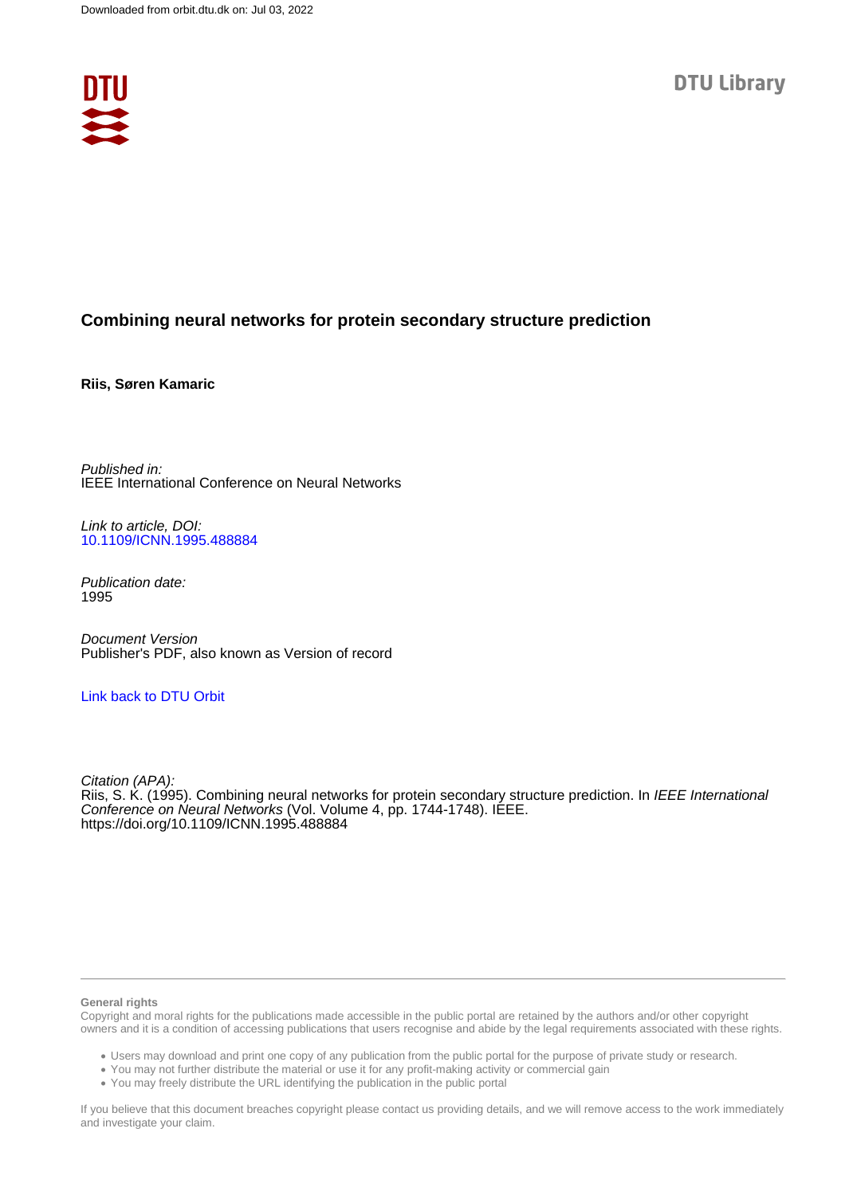

# **Combining neural networks for protein secondary structure prediction**

**Riis, Søren Kamaric**

Published in: IEEE International Conference on Neural Networks

Link to article, DOI: [10.1109/ICNN.1995.488884](https://doi.org/10.1109/ICNN.1995.488884)

Publication date: 1995

Document Version Publisher's PDF, also known as Version of record

## [Link back to DTU Orbit](https://orbit.dtu.dk/en/publications/6c444528-63a0-49f3-8812-6000dc9d78fa)

Citation (APA): Riis, S. K. (1995). Combining neural networks for protein secondary structure prediction. In IEEE International Conference on Neural Networks (Vol. Volume 4, pp. 1744-1748). IÉEE. <https://doi.org/10.1109/ICNN.1995.488884>

#### **General rights**

Copyright and moral rights for the publications made accessible in the public portal are retained by the authors and/or other copyright owners and it is a condition of accessing publications that users recognise and abide by the legal requirements associated with these rights.

Users may download and print one copy of any publication from the public portal for the purpose of private study or research.

- You may not further distribute the material or use it for any profit-making activity or commercial gain
- You may freely distribute the URL identifying the publication in the public portal

If you believe that this document breaches copyright please contact us providing details, and we will remove access to the work immediately and investigate your claim.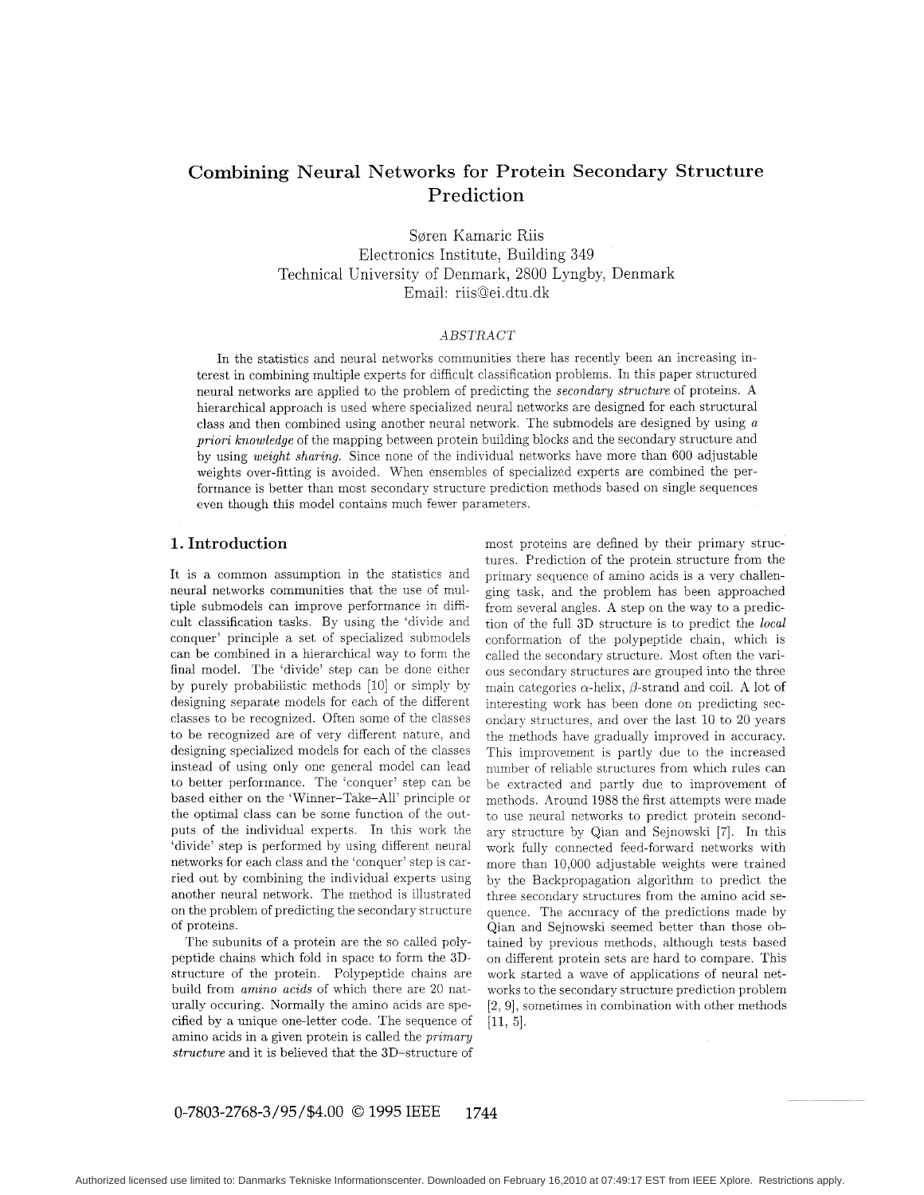# **Combining Neural Networks for Protein Secondary Structure Prediction**

Søren Kamaric Riis Electronics Institute, Building 349 Technical University of Denmark, 2800 Lyngby, Denmark Email: riisQei. dtu .dk

#### *ilBSTRACT*

In the statistics and neural networks communities there has recently been an increasing interest in combining multiple experts for difficult classification problems. In this paper structured neural networks are applied to the problem of predicting the *secondary structure* of proteins. A hierarchical approach is used where specialized neural networks are designed for each structural class and then combined using another neural network. The submodels are designed by using *a priori knowledge* of the mapping between protein building blocks and the secondary structure and by using *weight sharing.* Since none of the individual networks have more than 600 adjustable weights over-fitting is avoided. When ensembles of specialized experts are combined the performance is better than most secondary structure prediction methods based on single sequences even though this model contains much fewer parameters.

## **1. Introduction**

It is a common assumption in the statistics and neural networks communities that the use of multiple submodels can improve performance in difficult classification tasks. By using the 'divide and conquer' principle a set of specialized submodels can be combined in a hierarchical way to form the final model. The 'divide' step can be done either by purely probabilistic methods [10] or simply by designing separate models for each of the different classes to be recognized. Often some of the classes to be recognized are of very different nature: and designing specialized models for each of the classes instead of using only one general model can lead to better performance. The 'conquer' step can be based either on the 'Winner-Take-All' principle or the optimal class can be some function of the outputs of the individual experts. In this work the 'divide' step is performed by using different neural networks for each class and the 'conquer' step is carried out by combining the individual experts using another neural network. The method is illustrated on the problem of predicting the secondary structure of proteins.

The subunits of a protein are the so called polypeptide chains which fold in space to form the 3Dstructure of the protein. Polypeptide chains are build from *amino acids* of which there are 20 naturally occuring. Normally the amino acids are specified by a unique one-letter code. The sequence of amino acids in a given protein is called the *primary structure* and it is believed that the 3D-structure of

most proteins are defined by their primary structures. Prediction of the protein structure from the primary sequence of amino acids is a very challenging task, and the problem has been approached from several angles. A step on the way to a prediction of the full 3D structure is to predict the *local*  conformation of the polypeptide chain, which is called the secondary structure. Most often the various secondary structures are grouped into the three main categories  $\alpha$ -helix,  $\beta$ -strand and coil. A lot of interesting work has been done on predicting secondary structures, and over the last 10 to 20 years the methods have gradually improved in accuracy. This improvement is partly due to the increased number of reliable structures from which rules can be extracted and partly due to improvement of methods. Around 1988 the first attempts were made to use neural networks to predict protein secondary structure by Qian and Sejnowski *[7].* In this work fully connected feed-forward networks with more than 10,000 adjustable weights were trained by the Backpropagation algorithm to predict the three secondary structures from the amino acid sequence. The accuracy of the predictions made by Qian and Sejnowski seemed better than those obtained by previous methods, although tests based on different protein sets are hard to compare. This work started a wave of applications of neural networks to the secondary structure prediction problem [2, 91, sometimes in combination with other methods  $[11, 5]$ .

## **0-7803-2768-3/95/\$4.00** *0* **1995 IEEE 1744**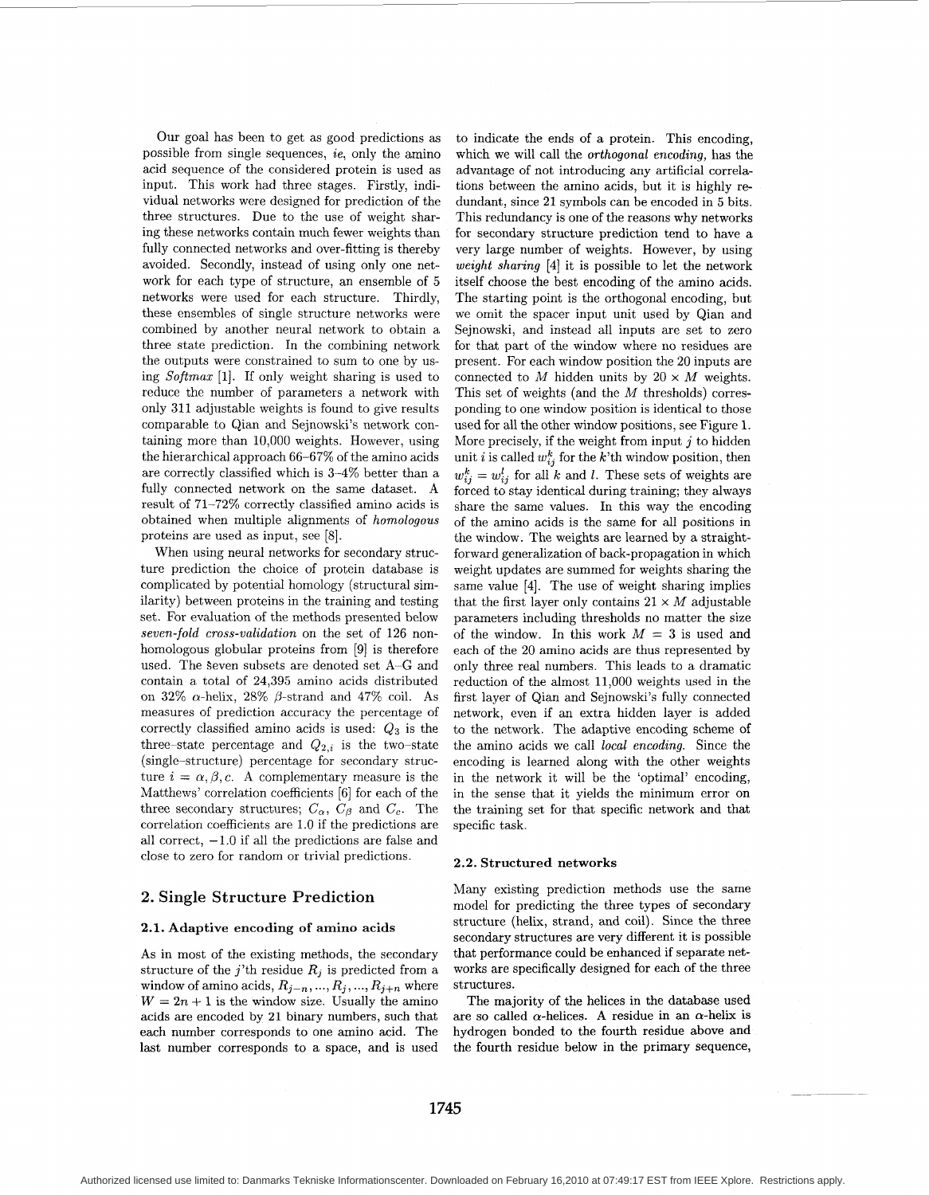Our goal has been to get as good predictions as possible from single sequences, *ie,* only the amino acid sequence of the considered protein is used as input. This work had three stages. Firstly, individual networks were designed for prediction of the three structures. Due to the use of weight sharing these networks contain much fewer weights than fully connected networks and over-fitting is thereby avoided. Secondly, instead of using only one network for each type of structure, an ensemble of 5 networks were used for each structure. Thirdly, these ensembles of single structure networks were combined by another neural network to obtain a three state prediction. In the combining network the outputs were constrained to sum to one by using *Softmax* [l]. If only weight sharing is used to reduce the number of parameters a network with only 311 adjustable weights is found to give results comparable to Qian and Sejnowski's network containing more than 10,000 weights. However, using the hierarchical approach 66-67% of the amino acids are correctly classified which is 3-4% better than a fully connected network on the same dataset. **A**  result of 71-72% correctly classified amino acids is obtained when multiple alignments of *homologous*  proteins are used as input, see [8].

When using neural networks for secondary structure prediction the choice of protein database is complicated by potential homology (structural similarity) between proteins in the training and testing set. For evaluation of the methods presented below *seven-fold cross-validation* on the set of 126 nonhomologous globular proteins from [9] is therefore used. The Seven subsets are denoted set **A-G** and contain a total of 24,395 amino acids distributed on 32%  $\alpha$ -helix, 28%  $\beta$ -strand and 47% coil. As measures of prediction accuracy the percentage of correctly classified amino acids is used: *Q3* is the three-state percentage and  $Q_{2,i}$  is the two-state (single-structure) percentage for secondary structure  $i = \alpha, \beta, c$ . A complementary measure is the Matthews' correlation coefficients [6] for each of the three secondary structures;  $C_{\alpha}$ ,  $C_{\beta}$  and  $C_{c}$ . The correlation coefficients are 1.0 if the predictions are all correct,  $-1.0$  if all the predictions are false and close to zero for random or trivial predictions.

#### **2. Single Structure Prediction**

#### **2.1. Adaptive encoding of amino acids**

As in most of the existing methods, the secondary structure of the j'th residue  $R_j$  is predicted from a window of amino acids,  $R_{j-n},..., R_j,..., R_{j+n}$  where  $W = 2n + 1$  is the window size. Usually the amino acids are encoded by **21** binary numbers, such that each number corresponds to one amino acid. The last number corresponds to a space, and is used

to indicate the ends of a protein. This encoding, which we will call the *orthogonal encoding,* has the advantage of not introducing any artificial correlations between the amino acids, but it is highly redundant, since 21 symbols can be encoded in 5 bits. This redundancy is one of the reasons why networks for secondary structure prediction tend to have a very large number of weights. However, by using *weight sharing* **[4]** it is possible to let the network itself choose the best encoding of the amino acids. The starting point is the orthogonal encoding, but we omit the spacer input unit used by Qian and Sejnowski, and instead all inputs are set to zero for that part of the window where no residues are present. For each window position the 20 inputs are connected to  $M$  hidden units by  $20 \times M$  weights. This set of weights (and the *M* thresholds) corresponding to one window position is identical to those used for all the other window positions, see Figure 1. More precisely, if the weight from input *j* to hidden unit *i* is called  $w_{ij}^k$  for the *k*'th window position, then  $w_{ij}^k = w_{ij}^l$  for all *k* and *l*. These sets of weights are forced to stay identical during training; they always share the same values. In this way the encoding of the amino acids is the same for all positions in the window. The weights are learned by a straightforward generalization of back-propagation in which weight updates are summed for weights sharing the same value **[4].** The use of weight sharing implies that the first layer only contains  $21 \times M$  adjustable parameters including thresholds no matter the size of the window. In this work  $M = 3$  is used and each of the 20 amino acids are thus represented by only three real numbers. This leads to a dramatic reduction of the almost 11,000 weights used in the first layer of Qian and Sejnowski's fully connected network, even if an extra hidden layer is added to the network. The adaptive encoding scheme of the amino acids we call *local encoding.* Since the encoding is learned along with the other weights in the network it will be the 'optimal' encoding, in the sense that it yields the minimum error on the training set for that specific network and that specific task.

#### **2.2. Structured networks**

Many existing prediction methods use the same model for predicting the three types of secondary structure (helix, strand, and coil). Since the three secondary structures are very different it is possible that performance could be enhanced if separate networks are specifically designed for each of the three structures.

The majority of the helices in the database used are so called  $\alpha$ -helices. A residue in an  $\alpha$ -helix is hydrogen bonded to the fourth residue above and the fourth residue below in the primary sequence,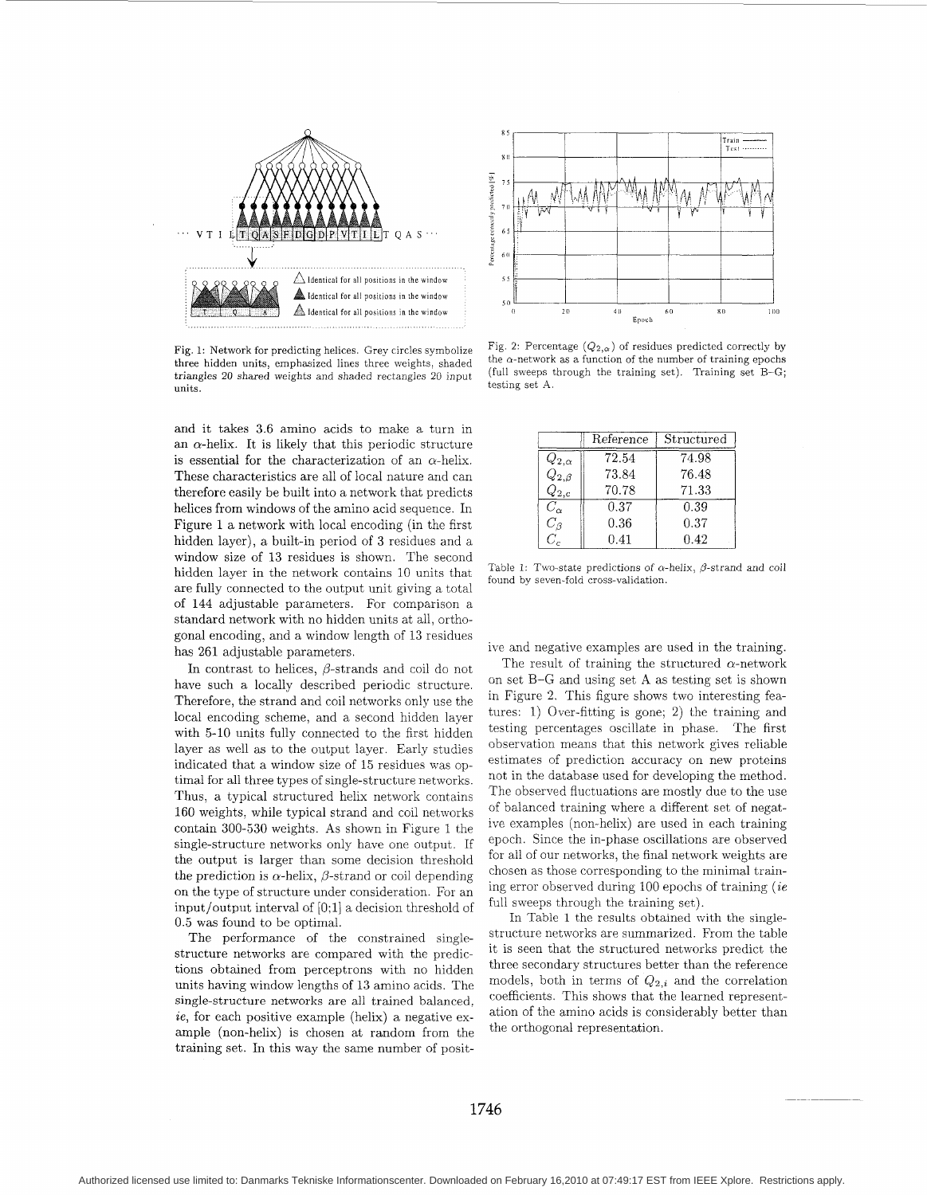

Fig. 1: Network for predicting helices. Grey circles symbolize three hidden units, emphasized lines three weights, shaded triangles 20 shared weights and shaded rectangles 20 input (full sweeps tunits.)

and it takes 3.6 amino acids to make a turn in an  $\alpha$ -helix. It is likely that this periodic structure is essential for the characterization of an  $\alpha$ -helix. These characteristics are all of local nature and can therefore easily be built into a network that predicts helices from windows of the amino acid sequence. In Figure 1 a network with local encoding (in the first hidden layer), a built-in period of 3 residues and a window size of 13 residues is shown. The second hidden layer in the network contains 10 units that are fully connected to the output unit giving a total of 144 adjustable parameters. For comparison a standard network with no hidden units at all, orthogonal encoding, and a window length of 13 residues has 261 adjustable parameters.

In contrast to helices,  $\beta$ -strands and coil do not have such a locally described periodic structure. Therefore, the strand and coil networks only use the local encoding scheme, and a second hidden layer with 5-10 units fully connected to the first hidden layer as well as to the output layer. Early studies indicated that a window size of 15 residues was optimal for all three types of single-structure networks. Thus, a typical structured helix network contains 160 weights, while typical strand and coil networks contain 300-530 weights. As shown in Figure 1 the single-structure networks only have one output. If the output is larger than some decision threshold the prediction is  $\alpha$ -helix,  $\beta$ -strand or coil depending on the type of structure under consideration. For an input/output interval of [0;1] a decision threshold of 0.5 was found to be optimal.

The performance of the constrained singlestructure networks are compared with the predictions obtained from perceptrons with no hidden units having window lengths of 13 amino acids. The single-structure networks are all trained balanced, *ie,* for each positive example (helix) a negative example (non-helix) is chosen at random from the training set. In this way the same number of posit-



Fig. 2: Percentage  $(Q_{2,\alpha})$  of residues predicted correctly by the  $\alpha$ -network as a function of the number of training epochs (full sweeps through the training set). Training set B-G;

|                         | Reference | Structured |
|-------------------------|-----------|------------|
| $Q_{2,\alpha}$          | 72.54     | 74.98      |
| $Q_{2,\beta}$           | 73.84     | 76.48      |
| $Q_{2,c}$               | 70.78     | 71.33      |
| $\overline{C_{\alpha}}$ | 0.37      | 0.39       |
| $C_{\beta}$             | 0.36      | 0.37       |
| $C_c$                   | 0.41      | 0.42       |

Table 1: Two-state predictions of  $\alpha$ -helix,  $\beta$ -strand and coil found by seven-fold cross-validation.

ive and negative examples are used in the training.

The result of training the structured  $\alpha$ -network on set B-G and using set A as testing set is shown in Figure 2. This figure shows two interesting features: 1) Over-fitting is gone; 2) the training and testing percentages oscillate in phase. The first observation means that this network gives reliable estimates of prediction accuracy on new proteins not in the database used for developing the method. The observed fluctuations are mostly due to the use of balanced training where a different set of negative examples (non-helix) are used in each training epoch. Since the in-phase oscillations are observed for all of our networks, the final network weights are chosen as those corresponding to the minimal training error observed during 100 epochs of training *(ie*  full sweeps through the training set).

In Table 1 the results obtained with the singlestructure networks are summarized. From the table it is seen that the structured networks predict the three secondary structures better than the reference models, both in terms of *Q2,i* and the correlation coefficients. This shows that the learned representation of the amino acids is considerably better than the orthogonal representation.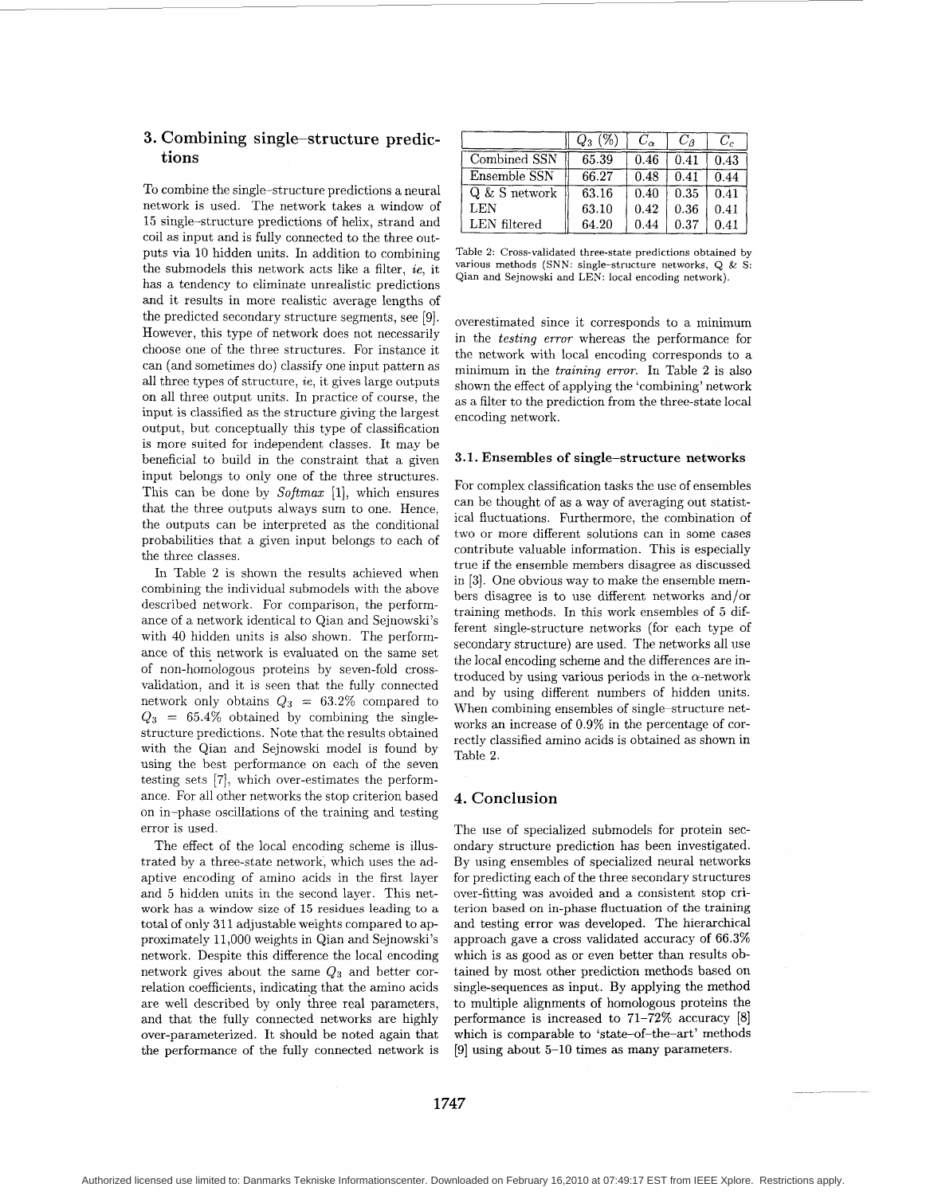## **3.** Combining single-structure **predic**tions

To combine the single-structure predictions a neural network is used. The network takes a window of 15 single-structure predictions of helix, strand and coil as input and is fully connected to the three outputs via 10 hidden units. In addition to combining the submodels this network acts like a filter, *ie,* it has a tendency to eliminate unrealistic predictions and it results in more realistic average lengths of the predicted secondary structure segments, see [9]. However, this type of network does not necessarily choose one of the three structures. For instance it can (and sometimes do) classify one input pattern as all three types of structure, *ie,* it gives large outputs on all three output units. In practice of course, the input is classified as the structure giving the largest output, but conceptually this type of classification is more suited for independent classes. It may be beneficial to build in the constraint that a given input belongs to only one of the three structures. This can be done by *Softmax* [I], which ensures that the three outputs always sum to one. Hence, the outputs can be interpreted as the conditional probabilities that a given input belongs to each of the three classes.

In Table 2 is shown the results achieved when combining the individual submodels with the above described network. For comparison, the performance of a network identical to Qian and Sejnowski's with 40 hidden units is also shown. The performance of this network is evaluated on the same set of non-homologous proteins by seven-fold crossvalidation, and it is seen that the fully connected network only obtains  $Q_3 = 63.2\%$  compared to  $Q_3 = 65.4\%$  obtained by combining the singlestructure predictions. Note that the results obtained with the Qian and Sejnowski model is found by using the best performance on each of the seven testing sets [7], which over-estimates the performance. For all other networks the stop criterion based on in-phase oscillations of the training and testing error is used.

The effect of the local encoding scheme is illustrated by a three-state network, which uses the adaptive encoding of amino acids in the first layer and 5 hidden units in the second layer. This network has a window size of 15 residues leading to a total of only 311 adjustable weights compared to approximately 11,000 weights in Qian and Sejnowski's network. Despite this difference the local encoding network gives about the same *Q3* and better correlation coefficients, indicating that the amino acids are well described by only three real parameters, and that the fully connected networks are highly over-parameterized. It should be noted again that the performance of the fully connected network is

|                 | U٠    | $C_{\alpha}$ | $C_{\beta}$ | C,   |
|-----------------|-------|--------------|-------------|------|
| Combined SSN    | 65.39 | 0.46         | 0.41        | 0.43 |
| Ensemble SSN    | 66.27 | 0.48         | 0.41        | 0.44 |
| $Q & S$ network | 63.16 | 0.40         | 0.35        | 0.41 |
| LEN             | 63.10 | 0.42         | 0.36        | 0.41 |
| LEN filtered    | 64.20 | 0.44         | 0.37        | 0.41 |

Table 2: Cross-validated three-state predictions obtained by various methods (SNN: single-structure networks,  $Q \& S$ : Qian and Sejnowski and LEN: local encoding network).

overestimated since it corresponds to a minimum in the *testing error* whereas the performance for the network with local encoding corresponds to a minimum in the *training error.* In Table **2** is also shown the effect of applying the 'combining' network as a filter to the prediction from the three-state local encoding network.

#### **3.1. Ensembles of single-structure networks**

For complex classification tasks the use of ensembles can be thought of as a way of averaging out statistical fluctuations. Furthermore, the combination of two or more different solutions can in some cases contribute valuable information. This is especially true if the ensemble members disagree as discussed in [3]. One obvious way to make the ensemble members disagree is to use different networks and/or training methods. In this work ensembles of *5* different single-structure networks (for each type of secondary structure) are used. The networks all use the local encoding scheme and the differences are introduced by using various periods in the  $\alpha$ -network and by using different numbers of hidden units. When combining ensembles of single-structure networks an increase of 0.9% in the percentage of correctly classified amino acids is obtained as shown in Table **2.** 

#### **4. Conclusion**

The use of specialized submodels for protein secondary structure prediction has been investigated. By using ensembles of specialized neural networks for predicting each of the three secondary structures over-fitting was avoided and a consistent stop criterion based on in-phase fluctuation of the training and testing error was developed. The hierarchical approach gave a cross validated accuracy of 66.3% which is as good as or even better than results obtained by most other prediction methods based on single-sequences as input. By applying the method to multiple alignments of homologous proteins the performance is increased to 71-72% accuracy [8] which is comparable to 'state-of-the-art' methods **[9]** using about 5-10 times as many parameters.

Authorized licensed use limited to: Danmarks Tekniske Informationscenter. Downloaded on February 16,2010 at 07:49:17 EST from IEEE Xplore. Restrictions apply.